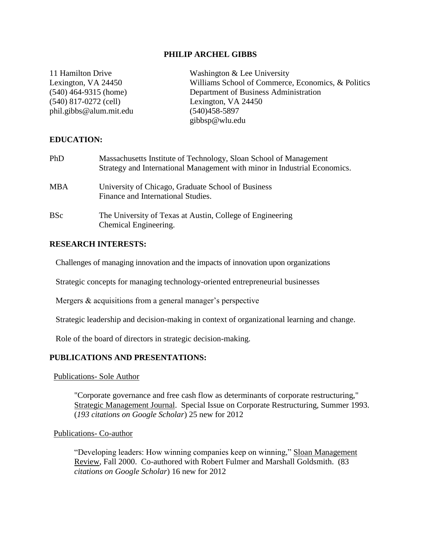#### **PHILIP ARCHEL GIBBS**

| 11 Hamilton Drive       | Washington & Lee University                        |
|-------------------------|----------------------------------------------------|
| Lexington, VA 24450     | Williams School of Commerce, Economics, & Politics |
| $(540)$ 464-9315 (home) | Department of Business Administration              |
| $(540)$ 817-0272 (cell) | Lexington, VA 24450                                |
| phil.gibbs@alum.mit.edu | $(540)458 - 5897$                                  |
|                         | gibbsp@wlu.edu                                     |
|                         |                                                    |

## **EDUCATION:**

| PhD        | Massachusetts Institute of Technology, Sloan School of Management<br>Strategy and International Management with minor in Industrial Economics. |
|------------|------------------------------------------------------------------------------------------------------------------------------------------------|
| <b>MBA</b> | University of Chicago, Graduate School of Business<br>Finance and International Studies.                                                       |
| <b>BSc</b> | The University of Texas at Austin, College of Engineering<br>Chemical Engineering.                                                             |

#### **RESEARCH INTERESTS:**

Challenges of managing innovation and the impacts of innovation upon organizations

Strategic concepts for managing technology-oriented entrepreneurial businesses

Mergers & acquisitions from a general manager's perspective

Strategic leadership and decision-making in context of organizational learning and change.

Role of the board of directors in strategic decision-making.

#### **PUBLICATIONS AND PRESENTATIONS:**

#### Publications- Sole Author

"Corporate governance and free cash flow as determinants of corporate restructuring," Strategic Management Journal. Special Issue on Corporate Restructuring, Summer 1993. (*193 citations on Google Scholar*) 25 new for 2012

#### Publications- Co-author

"Developing leaders: How winning companies keep on winning," Sloan Management Review, Fall 2000. Co-authored with Robert Fulmer and Marshall Goldsmith. (83 *citations on Google Scholar*) 16 new for 2012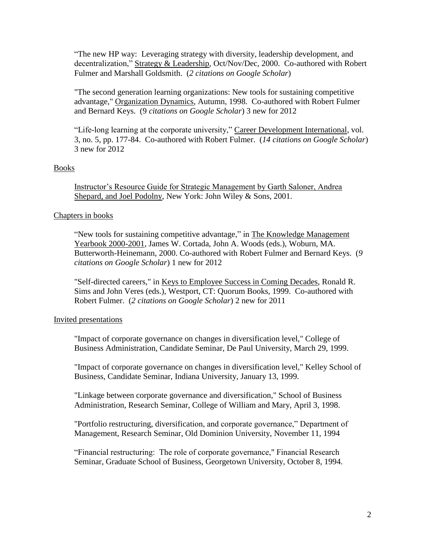"The new HP way: Leveraging strategy with diversity, leadership development, and decentralization," Strategy & Leadership, Oct/Nov/Dec, 2000. Co-authored with Robert Fulmer and Marshall Goldsmith. (*2 citations on Google Scholar*)

"The second generation learning organizations: New tools for sustaining competitive advantage," Organization Dynamics, Autumn, 1998. Co-authored with Robert Fulmer and Bernard Keys. (9 *citations on Google Scholar*) 3 new for 2012

"Life-long learning at the corporate university," Career Development International, vol. 3, no. 5, pp. 177-84. Co-authored with Robert Fulmer. (*14 citations on Google Scholar*) 3 new for 2012

# Books

Instructor's Resource Guide for Strategic Management by Garth Saloner, Andrea Shepard, and Joel Podolny, New York: John Wiley & Sons, 2001.

# Chapters in books

"New tools for sustaining competitive advantage," in The Knowledge Management Yearbook 2000-2001, James W. Cortada, John A. Woods (eds.), Woburn, MA. Butterworth-Heinemann, 2000. Co-authored with Robert Fulmer and Bernard Keys. (*9 citations on Google Scholar*) 1 new for 2012

"Self-directed careers," in Keys to Employee Success in Coming Decades, Ronald R. Sims and John Veres (eds.), Westport, CT: Quorum Books, 1999. Co-authored with Robert Fulmer. (*2 citations on Google Scholar*) 2 new for 2011

## Invited presentations

"Impact of corporate governance on changes in diversification level," College of Business Administration, Candidate Seminar, De Paul University, March 29, 1999.

"Impact of corporate governance on changes in diversification level," Kelley School of Business, Candidate Seminar, Indiana University, January 13, 1999.

"Linkage between corporate governance and diversification," School of Business Administration, Research Seminar, College of William and Mary, April 3, 1998.

"Portfolio restructuring, diversification, and corporate governance," Department of Management, Research Seminar, Old Dominion University, November 11, 1994

"Financial restructuring: The role of corporate governance," Financial Research Seminar, Graduate School of Business, Georgetown University, October 8, 1994.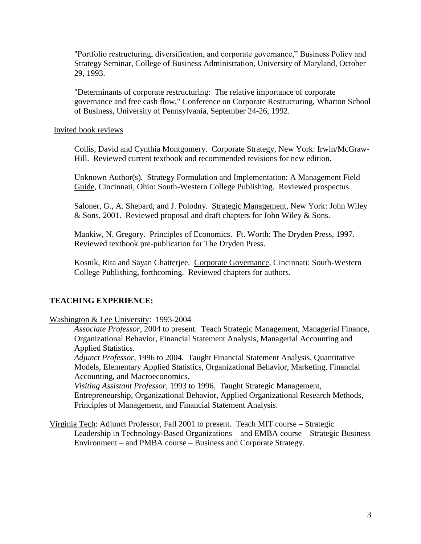"Portfolio restructuring, diversification, and corporate governance," Business Policy and Strategy Seminar, College of Business Administration, University of Maryland, October 29, 1993.

"Determinants of corporate restructuring: The relative importance of corporate governance and free cash flow," Conference on Corporate Restructuring, Wharton School of Business, University of Pennsylvania, September 24-26, 1992.

Invited book reviews

Collis, David and Cynthia Montgomery. Corporate Strategy, New York: Irwin/McGraw-Hill. Reviewed current textbook and recommended revisions for new edition.

Unknown Author(s). Strategy Formulation and Implementation: A Management Field Guide, Cincinnati, Ohio: South-Western College Publishing. Reviewed prospectus.

Saloner, G., A. Shepard, and J. Polodny. Strategic Management, New York: John Wiley & Sons, 2001. Reviewed proposal and draft chapters for John Wiley & Sons.

Mankiw, N. Gregory. Principles of Economics. Ft. Worth: The Dryden Press, 1997. Reviewed textbook pre-publication for The Dryden Press.

Kosnik, Rita and Sayan Chatterjee. Corporate Governance, Cincinnati: South-Western College Publishing, forthcoming. Reviewed chapters for authors.

# **TEACHING EXPERIENCE:**

Washington & Lee University: 1993-2004

*Associate Professor*, 2004 to present. Teach Strategic Management, Managerial Finance, Organizational Behavior, Financial Statement Analysis, Managerial Accounting and Applied Statistics.

*Adjunct Professor*, 1996 to 2004. Taught Financial Statement Analysis, Quantitative Models, Elementary Applied Statistics, Organizational Behavior, Marketing, Financial Accounting, and Macroeconomics.

*Visiting Assistant Professor*, 1993 to 1996. Taught Strategic Management, Entrepreneurship, Organizational Behavior, Applied Organizational Research Methods, Principles of Management, and Financial Statement Analysis.

Virginia Tech: Adjunct Professor, Fall 2001 to present. Teach MIT course – Strategic Leadership in Technology-Based Organizations – and EMBA course – Strategic Business Environment – and PMBA course – Business and Corporate Strategy.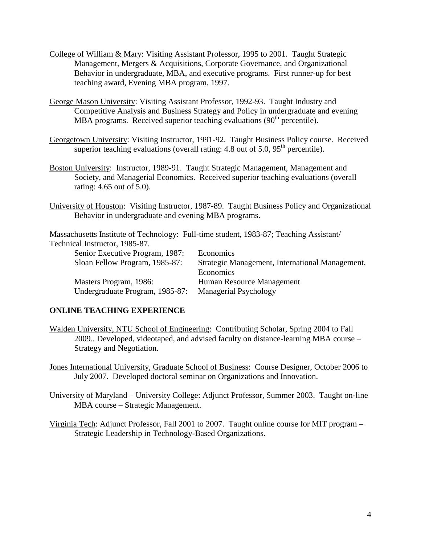- College of William & Mary: Visiting Assistant Professor, 1995 to 2001. Taught Strategic Management, Mergers & Acquisitions, Corporate Governance, and Organizational Behavior in undergraduate, MBA, and executive programs. First runner-up for best teaching award, Evening MBA program, 1997.
- George Mason University: Visiting Assistant Professor, 1992-93. Taught Industry and Competitive Analysis and Business Strategy and Policy in undergraduate and evening MBA programs. Received superior teaching evaluations  $(90<sup>th</sup>$  percentile).
- Georgetown University: Visiting Instructor, 1991-92. Taught Business Policy course. Received superior teaching evaluations (overall rating: 4.8 out of 5.0,  $95<sup>th</sup>$  percentile).
- Boston University: Instructor, 1989-91. Taught Strategic Management, Management and Society, and Managerial Economics. Received superior teaching evaluations (overall rating: 4.65 out of 5.0).
- University of Houston: Visiting Instructor, 1987-89. Taught Business Policy and Organizational Behavior in undergraduate and evening MBA programs.

Massachusetts Institute of Technology: Full-time student, 1983-87; Teaching Assistant/

Technical Instructor, 1985-87.

| Economics                                       |
|-------------------------------------------------|
|                                                 |
| Strategic Management, International Management, |
| Economics                                       |
| Human Resource Management                       |
| Managerial Psychology                           |
|                                                 |

## **ONLINE TEACHING EXPERIENCE**

Walden University, NTU School of Engineering: Contributing Scholar, Spring 2004 to Fall 2009.. Developed, videotaped, and advised faculty on distance-learning MBA course – Strategy and Negotiation.

Jones International University, Graduate School of Business: Course Designer, October 2006 to July 2007. Developed doctoral seminar on Organizations and Innovation.

University of Maryland – University College: Adjunct Professor, Summer 2003. Taught on-line MBA course – Strategic Management.

Virginia Tech: Adjunct Professor, Fall 2001 to 2007. Taught online course for MIT program – Strategic Leadership in Technology-Based Organizations.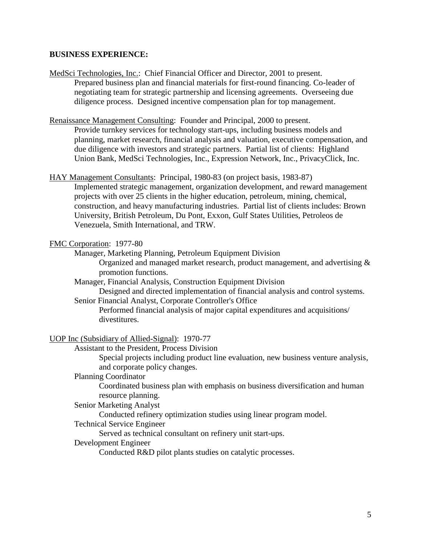#### **BUSINESS EXPERIENCE:**

MedSci Technologies, Inc.: Chief Financial Officer and Director, 2001 to present. Prepared business plan and financial materials for first-round financing. Co-leader of negotiating team for strategic partnership and licensing agreements. Overseeing due diligence process. Designed incentive compensation plan for top management.

Renaissance Management Consulting: Founder and Principal, 2000 to present.

Provide turnkey services for technology start-ups, including business models and planning, market research, financial analysis and valuation, executive compensation, and due diligence with investors and strategic partners. Partial list of clients: Highland Union Bank, MedSci Technologies, Inc., Expression Network, Inc., PrivacyClick, Inc.

HAY Management Consultants: Principal, 1980-83 (on project basis, 1983-87) Implemented strategic management, organization development, and reward management projects with over 25 clients in the higher education, petroleum, mining, chemical, construction, and heavy manufacturing industries. Partial list of clients includes: Brown

University, British Petroleum, Du Pont, Exxon, Gulf States Utilities, Petroleos de Venezuela, Smith International, and TRW.

#### FMC Corporation: 1977-80

Manager, Marketing Planning, Petroleum Equipment Division

Organized and managed market research, product management, and advertising & promotion functions.

Manager, Financial Analysis, Construction Equipment Division

Designed and directed implementation of financial analysis and control systems.

Senior Financial Analyst, Corporate Controller's Office

Performed financial analysis of major capital expenditures and acquisitions/ divestitures.

UOP Inc (Subsidiary of Allied-Signal): 1970-77

Assistant to the President, Process Division

Special projects including product line evaluation, new business venture analysis, and corporate policy changes.

Planning Coordinator

Coordinated business plan with emphasis on business diversification and human resource planning.

Senior Marketing Analyst

Conducted refinery optimization studies using linear program model.

Technical Service Engineer

Served as technical consultant on refinery unit start-ups.

#### Development Engineer

Conducted R&D pilot plants studies on catalytic processes.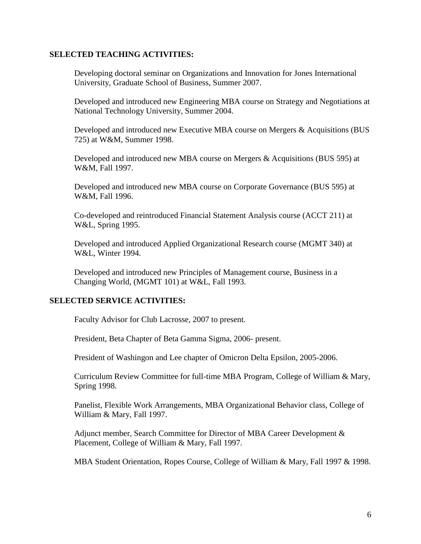## **SELECTED TEACHING ACTIVITIES:**

Developing doctoral seminar on Organizations and Innovation for Jones International University, Graduate School of Business, Summer 2007.

Developed and introduced new Engineering MBA course on Strategy and Negotiations at National Technology University, Summer 2004.

Developed and introduced new Executive MBA course on Mergers & Acquisitions (BUS 725) at W&M, Summer 1998.

Developed and introduced new MBA course on Mergers & Acquisitions (BUS 595) at W&M, Fall 1997.

Developed and introduced new MBA course on Corporate Governance (BUS 595) at W&M, Fall 1996.

Co-developed and reintroduced Financial Statement Analysis course (ACCT 211) at W&L, Spring 1995.

Developed and introduced Applied Organizational Research course (MGMT 340) at W&L, Winter 1994.

Developed and introduced new Principles of Management course, Business in a Changing World, (MGMT 101) at W&L, Fall 1993.

## **SELECTED SERVICE ACTIVITIES:**

Faculty Advisor for Club Lacrosse, 2007 to present.

President, Beta Chapter of Beta Gamma Sigma, 2006- present.

President of Washingon and Lee chapter of Omicron Delta Epsilon, 2005-2006.

Curriculum Review Committee for full-time MBA Program, College of William & Mary, Spring 1998.

Panelist, Flexible Work Arrangements, MBA Organizational Behavior class, College of William & Mary, Fall 1997.

Adjunct member, Search Committee for Director of MBA Career Development & Placement, College of William & Mary, Fall 1997.

MBA Student Orientation, Ropes Course, College of William & Mary, Fall 1997 & 1998.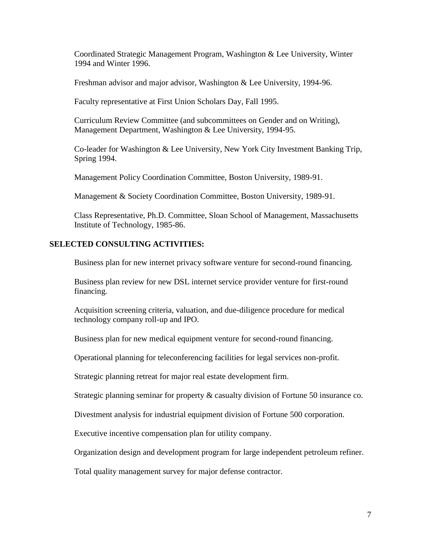Coordinated Strategic Management Program, Washington & Lee University, Winter 1994 and Winter 1996.

Freshman advisor and major advisor, Washington & Lee University, 1994-96.

Faculty representative at First Union Scholars Day, Fall 1995.

Curriculum Review Committee (and subcommittees on Gender and on Writing), Management Department, Washington & Lee University, 1994-95.

Co-leader for Washington & Lee University, New York City Investment Banking Trip, Spring 1994.

Management Policy Coordination Committee, Boston University, 1989-91.

Management & Society Coordination Committee, Boston University, 1989-91.

Class Representative, Ph.D. Committee, Sloan School of Management, Massachusetts Institute of Technology, 1985-86.

# **SELECTED CONSULTING ACTIVITIES:**

Business plan for new internet privacy software venture for second-round financing.

Business plan review for new DSL internet service provider venture for first-round financing.

Acquisition screening criteria, valuation, and due-diligence procedure for medical technology company roll-up and IPO.

Business plan for new medical equipment venture for second-round financing.

Operational planning for teleconferencing facilities for legal services non-profit.

Strategic planning retreat for major real estate development firm.

Strategic planning seminar for property & casualty division of Fortune 50 insurance co.

Divestment analysis for industrial equipment division of Fortune 500 corporation.

Executive incentive compensation plan for utility company.

Organization design and development program for large independent petroleum refiner.

Total quality management survey for major defense contractor.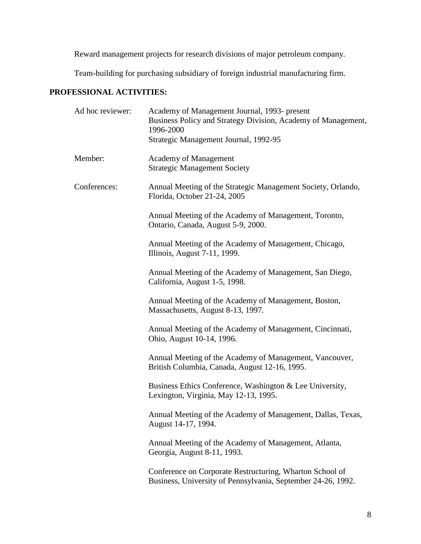Reward management projects for research divisions of major petroleum company.

Team-building for purchasing subsidiary of foreign industrial manufacturing firm.

# **PROFESSIONAL ACTIVITIES:**

| Ad hoc reviewer: | Academy of Management Journal, 1993- present<br>Business Policy and Strategy Division, Academy of Management,<br>1996-2000<br>Strategic Management Journal, 1992-95 |
|------------------|---------------------------------------------------------------------------------------------------------------------------------------------------------------------|
| Member:          | <b>Academy of Management</b><br><b>Strategic Management Society</b>                                                                                                 |
| Conferences:     | Annual Meeting of the Strategic Management Society, Orlando,<br>Florida, October 21-24, 2005                                                                        |
|                  | Annual Meeting of the Academy of Management, Toronto,<br>Ontario, Canada, August 5-9, 2000.                                                                         |
|                  | Annual Meeting of the Academy of Management, Chicago,<br>Illinois, August 7-11, 1999.                                                                               |
|                  | Annual Meeting of the Academy of Management, San Diego,<br>California, August 1-5, 1998.                                                                            |
|                  | Annual Meeting of the Academy of Management, Boston,<br>Massachusetts, August 8-13, 1997.                                                                           |
|                  | Annual Meeting of the Academy of Management, Cincinnati,<br>Ohio, August 10-14, 1996.                                                                               |
|                  | Annual Meeting of the Academy of Management, Vancouver,<br>British Columbia, Canada, August 12-16, 1995.                                                            |
|                  | Business Ethics Conference, Washington & Lee University,<br>Lexington, Virginia, May 12-13, 1995.                                                                   |
|                  | Annual Meeting of the Academy of Management, Dallas, Texas,<br>August 14-17, 1994.                                                                                  |
|                  | Annual Meeting of the Academy of Management, Atlanta,<br>Georgia, August 8-11, 1993.                                                                                |
|                  | Conference on Corporate Restructuring, Wharton School of<br>Business, University of Pennsylvania, September 24-26, 1992.                                            |